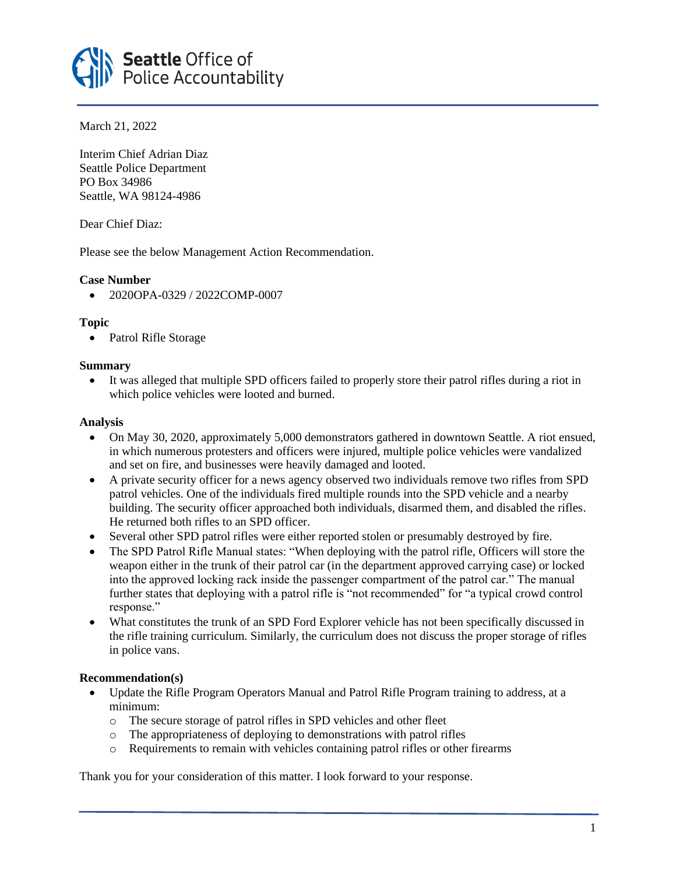

March 21, 2022

Interim Chief Adrian Diaz Seattle Police Department PO Box 34986 Seattle, WA 98124-4986

Dear Chief Diaz:

Please see the below Management Action Recommendation.

# **Case Number**

• 2020OPA-0329 / 2022COMP-0007

# **Topic**

• Patrol Rifle Storage

## **Summary**

• It was alleged that multiple SPD officers failed to properly store their patrol rifles during a riot in which police vehicles were looted and burned.

## **Analysis**

- On May 30, 2020, approximately 5,000 demonstrators gathered in downtown Seattle. A riot ensued, in which numerous protesters and officers were injured, multiple police vehicles were vandalized and set on fire, and businesses were heavily damaged and looted.
- A private security officer for a news agency observed two individuals remove two rifles from SPD patrol vehicles. One of the individuals fired multiple rounds into the SPD vehicle and a nearby building. The security officer approached both individuals, disarmed them, and disabled the rifles. He returned both rifles to an SPD officer.
- Several other SPD patrol rifles were either reported stolen or presumably destroyed by fire.
- The SPD Patrol Rifle Manual states: "When deploying with the patrol rifle, Officers will store the weapon either in the trunk of their patrol car (in the department approved carrying case) or locked into the approved locking rack inside the passenger compartment of the patrol car." The manual further states that deploying with a patrol rifle is "not recommended" for "a typical crowd control response."
- What constitutes the trunk of an SPD Ford Explorer vehicle has not been specifically discussed in the rifle training curriculum. Similarly, the curriculum does not discuss the proper storage of rifles in police vans.

## **Recommendation(s)**

- Update the Rifle Program Operators Manual and Patrol Rifle Program training to address, at a minimum:
	- o The secure storage of patrol rifles in SPD vehicles and other fleet
	- o The appropriateness of deploying to demonstrations with patrol rifles
	- o Requirements to remain with vehicles containing patrol rifles or other firearms

Thank you for your consideration of this matter. I look forward to your response.